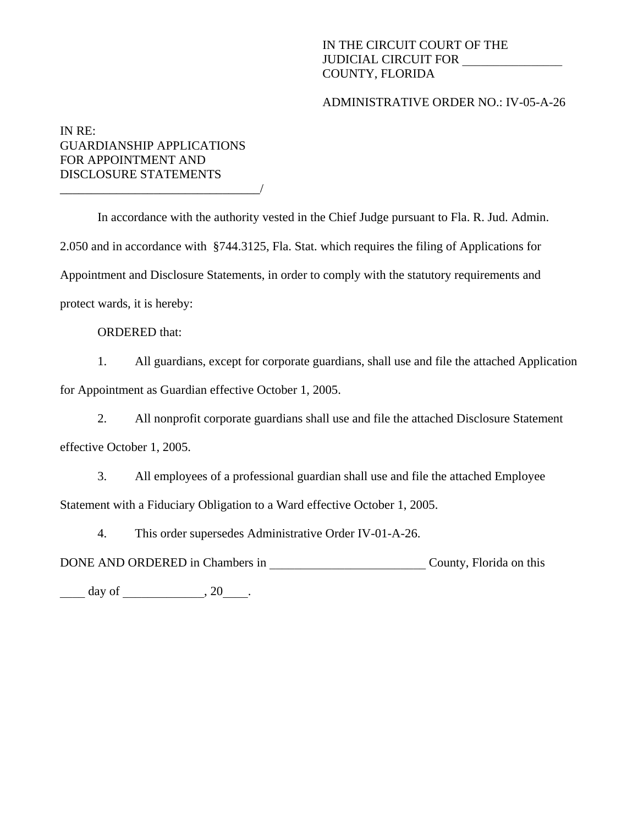## IN THE CIRCUIT COURT OF THE JUDICIAL CIRCUIT FOR \_\_\_\_\_\_\_\_\_\_\_\_\_\_\_\_ COUNTY, FLORIDA

## ADMINISTRATIVE ORDER NO.: IV-05-A-26

IN RE: GUARDIANSHIP APPLICATIONS FOR APPOINTMENT AND DISCLOSURE STATEMENTS \_\_\_\_\_\_\_\_\_\_\_\_\_\_\_\_\_\_\_\_\_\_\_\_\_\_\_\_\_\_\_\_/

In accordance with the authority vested in the Chief Judge pursuant to Fla. R. Jud. Admin. 2.050 and in accordance with §744.3125, Fla. Stat. which requires the filing of Applications for Appointment and Disclosure Statements, in order to comply with the statutory requirements and protect wards, it is hereby:

ORDERED that:

1. All guardians, except for corporate guardians, shall use and file the attached Application for Appointment as Guardian effective October 1, 2005.

2. All nonprofit corporate guardians shall use and file the attached Disclosure Statement effective October 1, 2005.

3. All employees of a professional guardian shall use and file the attached Employee Statement with a Fiduciary Obligation to a Ward effective October 1, 2005.

4. This order supersedes Administrative Order IV-01-A-26.

DONE AND ORDERED in Chambers in \_\_\_\_\_\_\_\_\_\_\_\_\_\_\_\_\_\_\_\_\_\_\_\_\_\_\_\_\_\_\_\_\_County, Florida on this

 $\frac{\text{day of}}{\text{day of}}$ , 20 $\frac{\text{day of}}{\text{day of}}$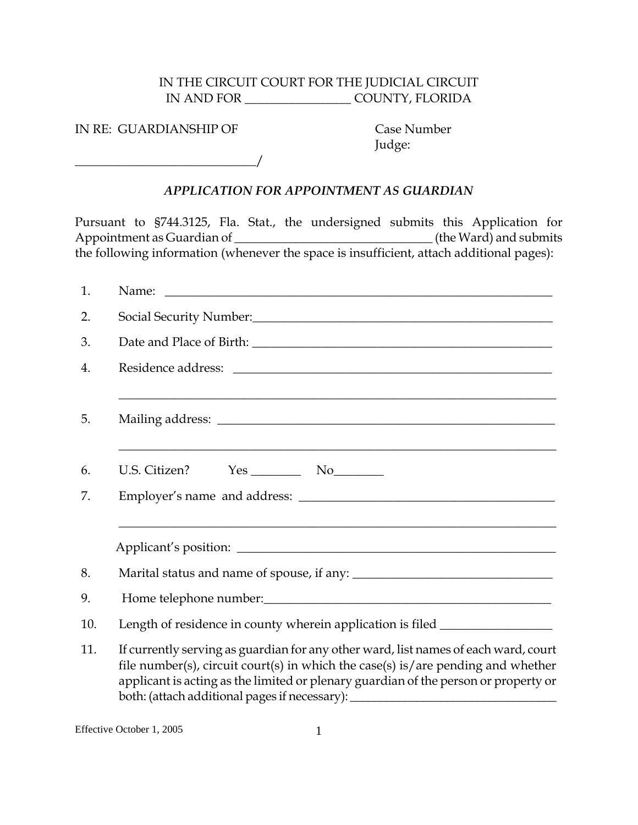## IN THE CIRCUIT COURT FOR THE JUDICIAL CIRCUIT IN AND FOR \_\_\_\_\_\_\_\_\_\_\_\_\_\_\_\_\_ COUNTY, FLORIDA

IN RE: GUARDIANSHIP OF Case Number

 $\overline{\phantom{a}}$ 

Judge:

## *APPLICATION FOR APPOINTMENT AS GUARDIAN*

Pursuant to §744.3125, Fla. Stat., the undersigned submits this Application for Appointment as Guardian of \_\_\_\_\_\_\_\_\_\_\_\_\_\_\_\_\_\_\_\_\_\_\_\_\_\_\_\_\_\_\_\_ (the Ward) and submits the following information (whenever the space is insufficient, attach additional pages):

| 1.  |                                                                                                                                                                                                                                                                                                                                                    |  |  |
|-----|----------------------------------------------------------------------------------------------------------------------------------------------------------------------------------------------------------------------------------------------------------------------------------------------------------------------------------------------------|--|--|
| 2.  | Social Security Number: 1997 and 2008 and 2009 and 2009 and 2009 and 2009 and 2009 and 2009 and 200                                                                                                                                                                                                                                                |  |  |
| 3.  |                                                                                                                                                                                                                                                                                                                                                    |  |  |
| 4.  |                                                                                                                                                                                                                                                                                                                                                    |  |  |
| 5.  | <u> 1989 - Johann John Harry Harry Harry Harry Harry Harry Harry Harry Harry Harry Harry Harry Harry Harry Harry</u>                                                                                                                                                                                                                               |  |  |
| 6.  | $Yes$ No<br>U.S. Citizen?                                                                                                                                                                                                                                                                                                                          |  |  |
| 7.  |                                                                                                                                                                                                                                                                                                                                                    |  |  |
|     |                                                                                                                                                                                                                                                                                                                                                    |  |  |
| 8.  |                                                                                                                                                                                                                                                                                                                                                    |  |  |
| 9.  |                                                                                                                                                                                                                                                                                                                                                    |  |  |
| 10. | Length of residence in county wherein application is filed _____________________                                                                                                                                                                                                                                                                   |  |  |
| 11. | If currently serving as guardian for any other ward, list names of each ward, court<br>file number(s), circuit court(s) in which the case(s) is/are pending and whether<br>applicant is acting as the limited or plenary guardian of the person or property or<br>both: (attach additional pages if necessary): __________________________________ |  |  |

Effective October 1, 2005 1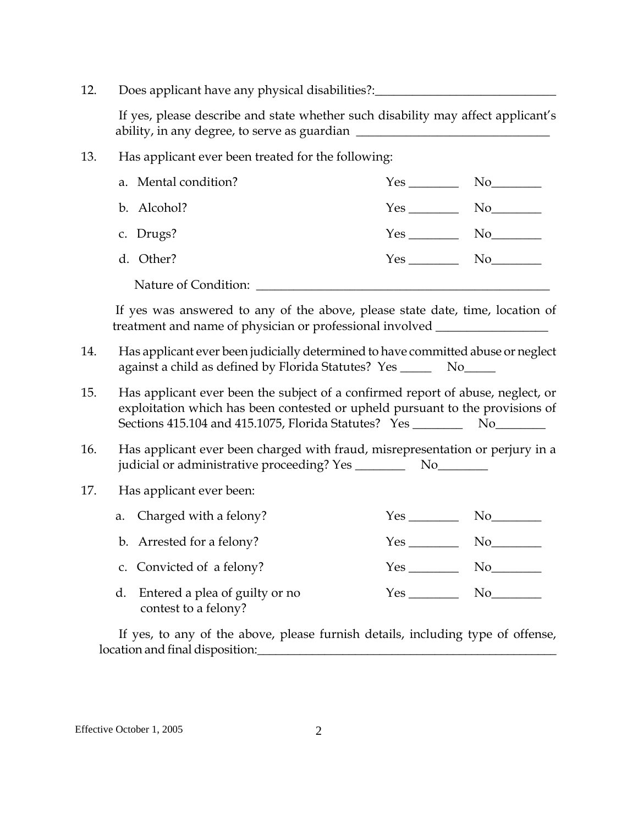12. Does applicant have any physical disabilities?:

 If yes, please describe and state whether such disability may affect applicant's ability, in any degree, to serve as guardian \_\_\_\_\_\_\_\_\_\_\_\_\_\_\_\_\_\_\_\_\_\_\_\_\_\_\_\_\_\_\_\_\_\_\_

13. Has applicant ever been treated for the following:

| a. Mental condition? | $Yes_{-}$ | No r |
|----------------------|-----------|------|
| b. Alcohol?          | Yes       | No.  |
| c. Drugs?            |           | No.  |
| d. Other?            | Yes       | No.  |
| Nature of Condition: |           |      |

 If yes was answered to any of the above, please state date, time, location of treatment and name of physician or professional involved \_\_\_\_\_\_\_\_\_\_\_\_\_\_\_\_\_\_\_\_\_\_\_

- 14. Has applicant ever been judicially determined to have committed abuse or neglect against a child as defined by Florida Statutes? Yes \_\_\_\_\_\_ No\_\_\_\_\_
- 15. Has applicant ever been the subject of a confirmed report of abuse, neglect, or exploitation which has been contested or upheld pursuant to the provisions of Sections 415.104 and 415.1075, Florida Statutes? Yes \_\_\_\_\_\_\_\_ No\_\_\_\_\_\_\_\_
- 16. Has applicant ever been charged with fraud, misrepresentation or perjury in a judicial or administrative proceeding? Yes \_\_\_\_\_\_\_\_\_\_\_\_\_\_ No\_\_\_\_\_\_\_\_\_\_
- 17. Has applicant ever been:

| a. Charged with a felony? | Y AC |  |
|---------------------------|------|--|
|---------------------------|------|--|

- b. Arrested for a felony?  $Yes \_$  No
- c. Convicted of a felony?  $Yes$  No
- d. Entered a plea of guilty or no contest to a felony? Yes No

 If yes, to any of the above, please furnish details, including type of offense, location and final disposition: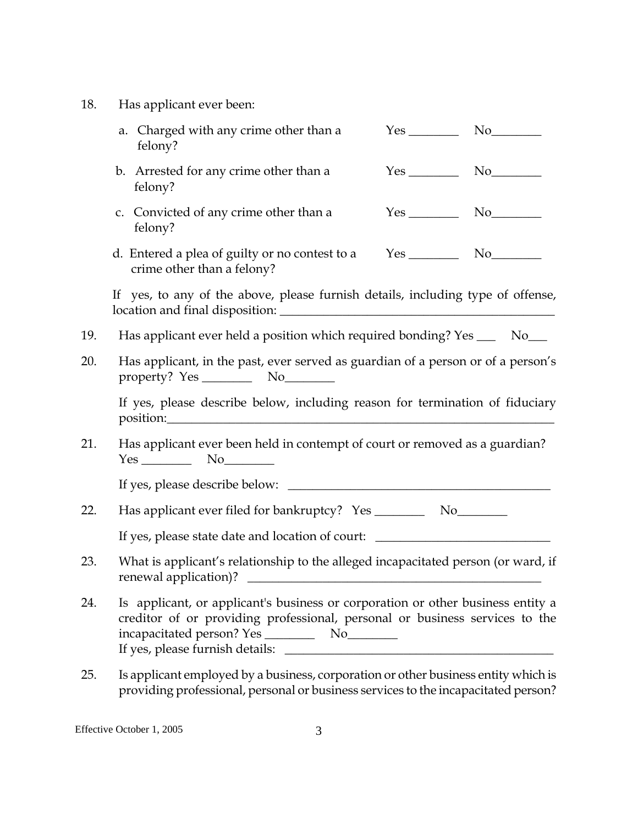18. Has applicant ever been:

| a. Charged with any crime other than a<br>felony?                            |     | No.                  |
|------------------------------------------------------------------------------|-----|----------------------|
| b. Arrested for any crime other than a<br>felony?                            | Yes | No the North Street. |
| c. Convicted of any crime other than a<br>felony?                            |     | No.                  |
| d. Entered a plea of guilty or no contest to a<br>crime other than a felony? |     | No.                  |

 If yes, to any of the above, please furnish details, including type of offense, location and final disposition:

- 19. Has applicant ever held a position which required bonding? Yes \_\_\_ No\_\_\_
- 20. Has applicant, in the past, ever served as guardian of a person or of a person's property? Yes \_\_\_\_\_\_\_\_ No\_\_\_\_\_\_\_\_

 If yes, please describe below, including reason for termination of fiduciary position:

21. Has applicant ever been held in contempt of court or removed as a guardian? Yes \_\_\_\_\_\_\_\_ No\_\_\_\_\_\_\_\_

If yes, please describe below: \_\_\_\_\_\_\_\_\_\_\_\_\_\_\_\_\_\_\_\_\_\_\_\_\_\_\_\_\_\_\_\_\_\_\_\_\_\_\_\_\_\_

22. Has applicant ever filed for bankruptcy? Yes \_\_\_\_\_\_\_\_\_\_\_\_ No\_\_\_\_\_\_\_\_\_

If yes, please state date and location of court: \_\_\_\_\_\_\_\_\_\_\_\_\_\_\_\_\_\_\_\_\_\_\_\_\_\_\_\_\_\_\_

- 23. What is applicant's relationship to the alleged incapacitated person (or ward, if renewal application)?
- 24. Is applicant, or applicant's business or corporation or other business entity a creditor of or providing professional, personal or business services to the incapacitated person? Yes \_\_\_\_\_\_\_\_ No\_\_\_\_\_\_\_\_ If yes, please furnish details:
- 25. Is applicant employed by a business, corporation or other business entity which is providing professional, personal or business services to the incapacitated person?

Effective October 1, 2005 3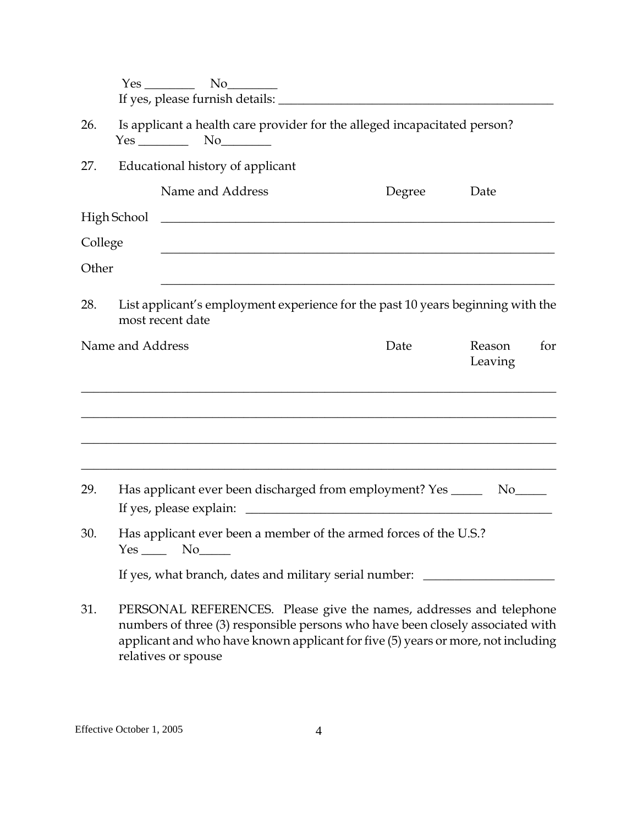|         |                  | $Yes$ No $No$       |                                                                                                                                                                                                                                           |        |                   |     |
|---------|------------------|---------------------|-------------------------------------------------------------------------------------------------------------------------------------------------------------------------------------------------------------------------------------------|--------|-------------------|-----|
| 26.     |                  | $Yes$ No            | Is applicant a health care provider for the alleged incapacitated person?                                                                                                                                                                 |        |                   |     |
| 27.     |                  |                     | Educational history of applicant                                                                                                                                                                                                          |        |                   |     |
|         |                  | Name and Address    |                                                                                                                                                                                                                                           | Degree | Date              |     |
|         | High School      |                     | <u> Alexandria de la contrada de la contrada de la contrada de la contrada de la contrada de la contrada de la c</u>                                                                                                                      |        |                   |     |
| College |                  |                     |                                                                                                                                                                                                                                           |        |                   |     |
| Other   |                  |                     |                                                                                                                                                                                                                                           |        |                   |     |
| 28.     |                  | most recent date    | List applicant's employment experience for the past 10 years beginning with the                                                                                                                                                           |        |                   |     |
|         | Name and Address |                     |                                                                                                                                                                                                                                           | Date   | Reason<br>Leaving | for |
|         |                  |                     | <u> 1989 - Johann Harry Harry Harry Harry Harry Harry Harry Harry Harry Harry Harry Harry Harry Harry Harry Harry</u>                                                                                                                     |        |                   |     |
| 29.     |                  |                     |                                                                                                                                                                                                                                           |        |                   |     |
| 30.     |                  |                     | Has applicant ever been a member of the armed forces of the U.S.?                                                                                                                                                                         |        |                   |     |
|         |                  |                     | If yes, what branch, dates and military serial number: _____                                                                                                                                                                              |        |                   |     |
| 31.     |                  | relatives or spouse | PERSONAL REFERENCES. Please give the names, addresses and telephone<br>numbers of three (3) responsible persons who have been closely associated with<br>applicant and who have known applicant for five (5) years or more, not including |        |                   |     |